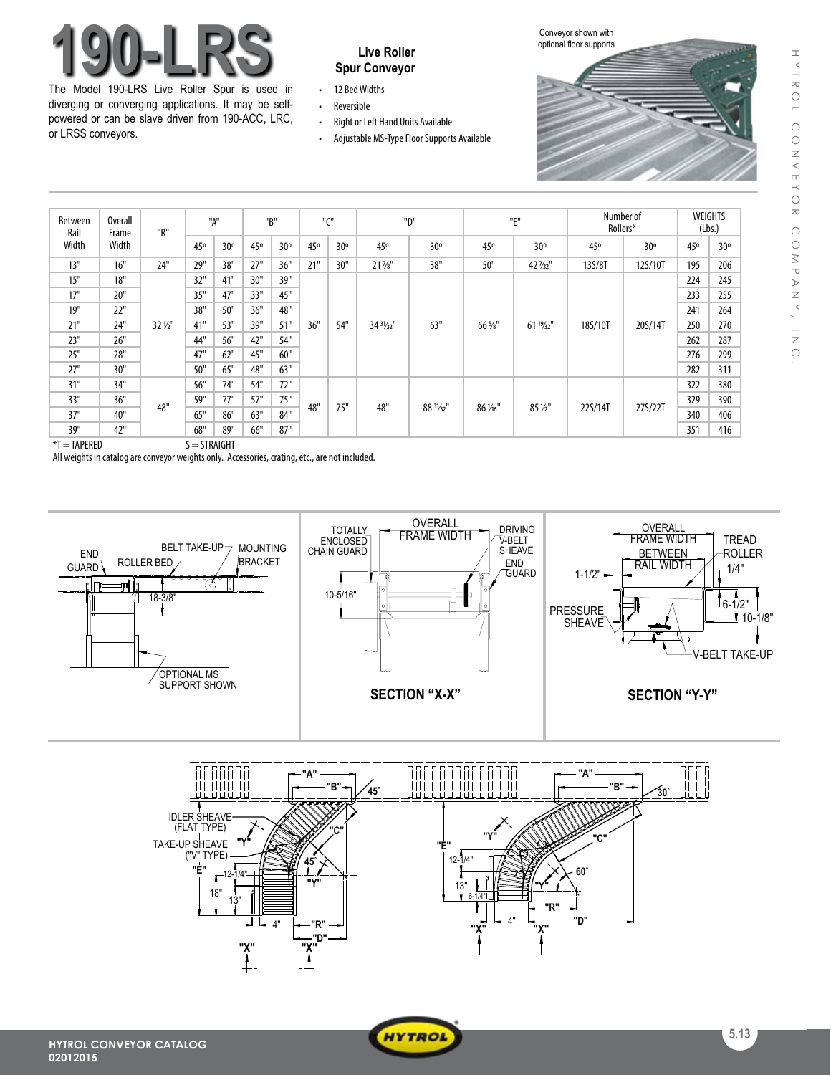# **Live Roller 190-LRS Spur Conveyor**

The Model 190-LRS Live Roller Spur is used in diverging or converging applications. It may be selfpowered or can be slave driven from 190-ACC, LRC, or LRSS conveyors.

- 12 Bed Widths
- • Reversible
- Right or Left Hand Units Available
- Adjustable MS-Type Floor Supports Available





| <b>Between</b><br>Rail<br>Width | Overall<br>Frame<br>Width | "R"     | "A" |     | "B" |     | $^{\prime\prime}$ CH |     | "D"                 |           | "E"      |                     | Number of<br>Rollers* |         | WEIGHTS<br>(Lbs.) |     |
|---------------------------------|---------------------------|---------|-----|-----|-----|-----|----------------------|-----|---------------------|-----------|----------|---------------------|-----------------------|---------|-------------------|-----|
|                                 |                           |         | 45° | 30° | 45° | 30° | 45°                  | 30° | 45°                 | 30°       | 45°      | 30°                 | 45°                   | 30°     | 45°               | 30° |
| 13"                             | 16"                       | 24"     | 29" | 38" | 27" | 36" | 21"                  | 30" | $21\%$ "            | 38"       | 50"      | 42 $\frac{7}{32}$ " | 13S/8T                | 12S/10T | 195               | 206 |
| 15"                             | 18"                       |         | 32" | 41" | 30" | 39" | 36"                  | 54" | $343\frac{1}{22}$ " | 63"       | 66 %"    | $61^{19}/_{32}$ "   | 18S/10T               | 20S/14T | 224               | 245 |
| 17"                             | 20"                       |         | 35" | 47" | 33" | 45" |                      |     |                     |           |          |                     |                       |         | 233               | 255 |
| 19"                             | 22"                       |         | 38" | 50" | 36" | 48" |                      |     |                     |           |          |                     |                       |         | 241               | 264 |
| 21"                             | 24"                       | 32 1/2" | 41" | 53" | 39" | 51" |                      |     |                     |           |          |                     |                       |         | 250               | 270 |
| 23"                             | 26"                       |         | 44" | 56" | 42" | 54" |                      |     |                     |           |          |                     |                       |         | 262               | 287 |
| 25"                             | 28"                       |         | 47" | 62" | 45" | 60" |                      |     |                     |           |          |                     |                       |         | 276               | 299 |
| 27"                             | 30"                       |         | 50" | 65" | 48" | 63" |                      |     |                     |           |          |                     |                       |         | 282               | 311 |
| 31"                             | 34"                       |         | 56" | 74" | 54" | 72" | 48"                  | 75" | 48"                 | 88 31/32" | 86 1/16" | 85 1/2"             | 22S/14T               | 27S/22T | 322               | 380 |
| 33"                             | 36"                       |         | 59" | 77" | 57" | 75" |                      |     |                     |           |          |                     |                       |         | 329               | 390 |
| 37"                             | 40"                       | 48"     | 65" | 86" | 63" | 84" |                      |     |                     |           |          |                     |                       |         | 340               | 406 |
| 39"                             | 42"                       |         | 68" | 89" | 66" | 87" |                      |     |                     |           |          |                     |                       |         | 351               | 416 |

 $*T = TAPERED$   $S = STRAIGHT$ 

All weights in catalog are conveyor weights only. Accessories, crating, etc., are not included.